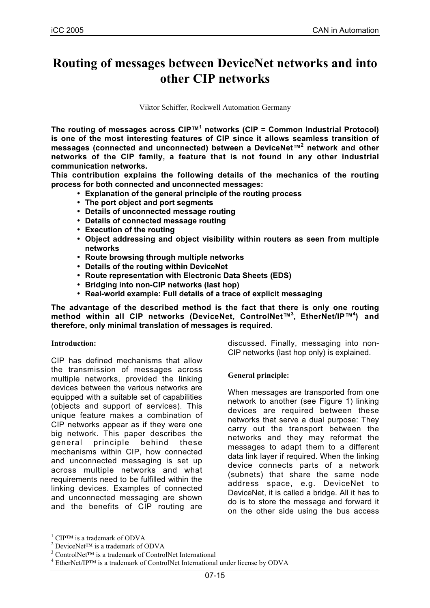# **Routing of messages between DeviceNet networks and into other CIP networks**

Viktor Schiffer, Rockwell Automation Germany

**The routing of messages across CIP™1 networks (CIP = Common Industrial Protocol) is one of the most interesting features of CIP since it allows seamless transition of messages (connected and unconnected) between a DeviceNet™2 network and other networks of the CIP family, a feature that is not found in any other industrial communication networks.**

**This contribution explains the following details of the mechanics of the routing process for both connected and unconnected messages:**

- **Explanation of the general principle of the routing process**
- **The port object and port segments**
- **Details of unconnected message routing**
- **Details of connected message routing**
- **Execution of the routing**
- **Object addressing and object visibility within routers as seen from multiple networks**
- **Route browsing through multiple networks**
- **Details of the routing within DeviceNet**
- **Route representation with Electronic Data Sheets (EDS)**
- **Bridging into non-CIP networks (last hop)**
- **Real-world example: Full details of a trace of explicit messaging**

**The advantage of the described method is the fact that there is only one routing method within all CIP networks (DeviceNet, ControlNet™<sup>3</sup> , EtherNet/IP™<sup>4</sup> ) and therefore, only minimal translation of messages is required.**

## **Introduction:**

CIP has defined mechanisms that allow the transmission of messages across multiple networks, provided the linking devices between the various networks are equipped with a suitable set of capabilities (objects and support of services). This unique feature makes a combination of CIP networks appear as if they were one big network. This paper describes the general principle behind these mechanisms within CIP, how connected and unconnected messaging is set up across multiple networks and what requirements need to be fulfilled within the linking devices. Examples of connected and unconnected messaging are shown and the benefits of CIP routing are

discussed. Finally, messaging into non-CIP networks (last hop only) is explained.

## **General principle:**

When messages are transported from one network to another (see Figure 1) linking devices are required between these networks that serve a dual purpose: They carry out the transport between the networks and they may reformat the messages to adapt them to a different data link layer if required. When the linking device connects parts of a network (subnets) that share the same node address space, e.g. DeviceNet to DeviceNet, it is called a bridge. All it has to do is to store the message and forward it on the other side using the bus access

 $\overline{a}$ 

<sup>&</sup>lt;sup>1</sup> CIP<sup>™</sup> is a trademark of ODVA

<sup>&</sup>lt;sup>2</sup> DeviceNet<sup>TM</sup> is a trademark of ODVA

<sup>&</sup>lt;sup>3</sup> ControlNet<sup>™</sup> is a trademark of ControlNet International

 $4$  EtherNet/IP<sup>TM</sup> is a trademark of ControlNet International under license by ODVA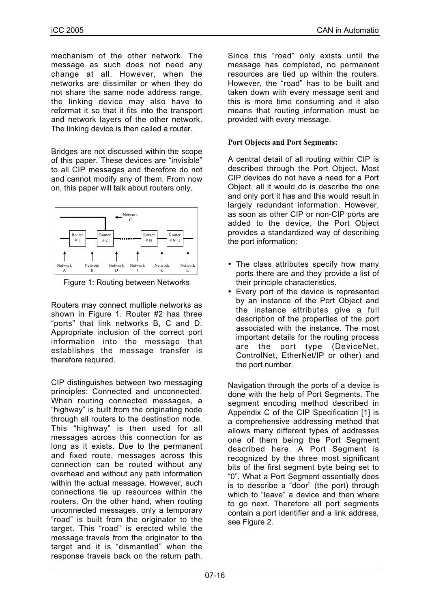mechanism of the other network. The message as such does not need any change at all. However, when the networks are dissimilar or when they do not share the same node address range, the linking device may also have to reformat it so that it fits into the transport and network layers of the other network. The linking device is then called a router.

Bridges are not discussed within the scope of this paper. These devices are "invisible" to all CIP messages and therefore do not and cannot modify any of them. From now on, this paper will talk about routers only.



Figure 1: Routing between Networks

Routers may connect multiple networks as shown in Figure 1. Router #2 has three "ports" that link networks B, C and D. Appropriate inclusion of the correct port information into the message that establishes the message transfer is therefore required.

CIP distinguishes between two messaging principles: Connected and unconnected. When routing connected messages, a "highway" is built from the originating node through all routers to the destination node. This "highway" is then used for all messages across this connection for as long as it exists. Due to the permanent and fixed route, messages across this connection can be routed without any overhead and without any path information within the actual message. However, such connections tie up resources within the routers. On the other hand, when routing unconnected messages, only a temporary "road" is built from the originator to the target. This "road" is erected while the message travels from the originator to the target and it is "dismantled" when the response travels back on the return path.

Since this "road" only exists until the message has completed, no permanent resources are tied up within the routers. However, the "road" has to be built and taken down with every message sent and this is more time consuming and it also means that routing information must be provided with every message.

## **Port Objects and Port Segments:**

A central detail of all routing within CIP is described through the Port Object. Most CIP devices do not have a need for a Port Object, all it would do is describe the one and only port it has and this would result in largely redundant information. However, as soon as other CIP or non-CIP ports are added to the device, the Port Object provides a standardized way of describing the port information:

- The class attributes specify how many ports there are and they provide a list of their principle characteristics.
- Every port of the device is represented by an instance of the Port Object and the instance attributes give a full description of the properties of the port associated with the instance. The most important details for the routing process are the port type (DeviceNet, ControlNet, EtherNet/IP or other) and the port number.

Navigation through the ports of a device is done with the help of Port Segments. The segment encoding method described in Appendix C of the CIP Specification [1] is a comprehensive addressing method that allows many different types of addresses one of them being the Port Segment described here. A Port Segment is recognized by the three most significant bits of the first segment byte being set to "0". What a Port Segment essentially does is to describe a "door" (the port) through which to "leave" a device and then where to go next. Therefore all port segments contain a port identifier and a link address, see Figure 2.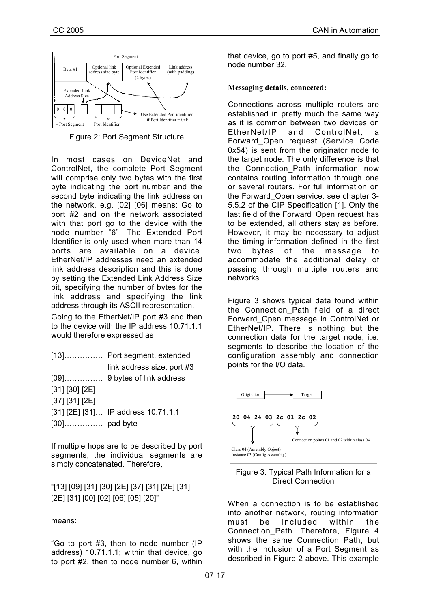

Figure 2: Port Segment Structure

In most cases on DeviceNet and ControlNet, the complete Port Segment will comprise only two bytes with the first byte indicating the port number and the second byte indicating the link address on the network, e.g. [02] [06] means: Go to port #2 and on the network associated with that port go to the device with the node number "6". The Extended Port Identifier is only used when more than 14 ports are available on a device. EtherNet/IP addresses need an extended link address description and this is done by setting the Extended Link Address Size bit, specifying the number of bytes for the link address and specifying the link address through its ASCII representation. Going to the EtherNet/IP port #3 and then

to the device with the IP address 10.71.1.1 would therefore expressed as

|                | [13] Port segment, extended         |
|----------------|-------------------------------------|
|                | link address size, port #3          |
|                |                                     |
| [31] [30] [2E] |                                     |
| [37] [31] [2E] |                                     |
|                | [31] [2E] [31] IP address 10.71.1.1 |
|                |                                     |

If multiple hops are to be described by port segments, the individual segments are simply concatenated. Therefore,

"[13] [09] [31] [30] [2E] [37] [31] [2E] [31] [2E] [31] [00] [02] [06] [05] [20]"

means:

"Go to port #3, then to node number (IP address) 10.71.1.1; within that device, go to port #2, then to node number 6, within

that device, go to port #5, and finally go to node number 32.

# **Messaging details, connected:**

Connections across multiple routers are established in pretty much the same way as it is common between two devices on EtherNet/IP and ControlNet; a Forward\_Open request (Service Code 0x54) is sent from the originator node to the target node. The only difference is that the Connection Path information now contains routing information through one or several routers. For full information on the Forward\_Open service, see chapter 3- 5.5.2 of the CIP Specification [1]. Only the last field of the Forward\_Open request has to be extended, all others stay as before. However, it may be necessary to adjust the timing information defined in the first two bytes of the message to accommodate the additional delay of passing through multiple routers and networks.

Figure 3 shows typical data found within the Connection\_Path field of a direct Forward\_Open message in ControlNet or EtherNet/IP. There is nothing but the connection data for the target node, i.e. segments to describe the location of the configuration assembly and connection points for the I/O data.



Figure 3: Typical Path Information for a Direct Connection

When a connection is to be established into another network, routing information must be included within the Connection\_Path. Therefore, Figure 4 shows the same Connection Path, but with the inclusion of a Port Segment as described in Figure 2 above. This example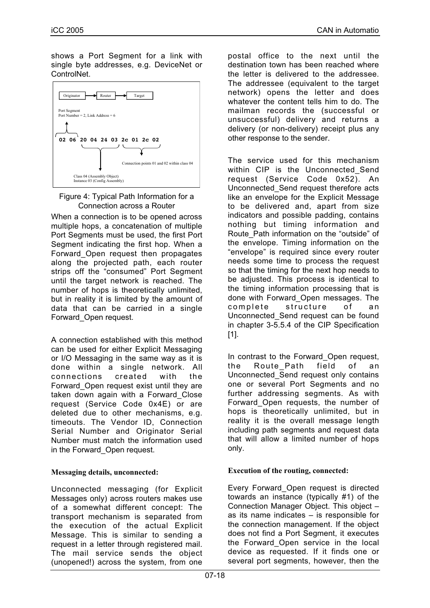shows a Port Segment for a link with single byte addresses, e.g. DeviceNet or ControlNet.





When a connection is to be opened across multiple hops, a concatenation of multiple Port Segments must be used, the first Port Segment indicating the first hop. When a Forward\_Open request then propagates along the projected path, each router strips off the "consumed" Port Segment until the target network is reached. The number of hops is theoretically unlimited, but in reality it is limited by the amount of data that can be carried in a single Forward\_Open request.

A connection established with this method can be used for either Explicit Messaging or I/O Messaging in the same way as it is done within a single network. All connections created with the Forward\_Open request exist until they are taken down again with a Forward\_Close request (Service Code 0x4E) or are deleted due to other mechanisms, e.g. timeouts. The Vendor ID, Connection Serial Number and Originator Serial Number must match the information used in the Forward\_Open request.

## **Messaging details, unconnected:**

Unconnected messaging (for Explicit Messages only) across routers makes use of a somewhat different concept: The transport mechanism is separated from the execution of the actual Explicit Message. This is similar to sending a request in a letter through registered mail. The mail service sends the object (unopened!) across the system, from one

postal office to the next until the destination town has been reached where the letter is delivered to the addressee. The addressee (equivalent to the target network) opens the letter and does whatever the content tells him to do. The mailman records the (successful or unsuccessful) delivery and returns a delivery (or non-delivery) receipt plus any other response to the sender.

The service used for this mechanism within CIP is the Unconnected Send request (Service Code 0x52). An Unconnected\_Send request therefore acts like an envelope for the Explicit Message to be delivered and, apart from size indicators and possible padding, contains nothing but timing information and Route\_Path information on the "outside" of the envelope. Timing information on the "envelope" is required since every router needs some time to process the request so that the timing for the next hop needs to be adjusted. This process is identical to the timing information processing that is done with Forward\_Open messages. The complete structure of an Unconnected\_Send request can be found in chapter 3-5.5.4 of the CIP Specification [1].

In contrast to the Forward\_Open request, the Route Path field of an Unconnected\_Send request only contains one or several Port Segments and no further addressing segments. As with Forward\_Open requests, the number of hops is theoretically unlimited, but in reality it is the overall message length including path segments and request data that will allow a limited number of hops only.

## **Execution of the routing, connected:**

Every Forward\_Open request is directed towards an instance (typically #1) of the Connection Manager Object. This object – as its name indicates – is responsible for the connection management. If the object does not find a Port Segment, it executes the Forward\_Open service in the local device as requested. If it finds one or several port segments, however, then the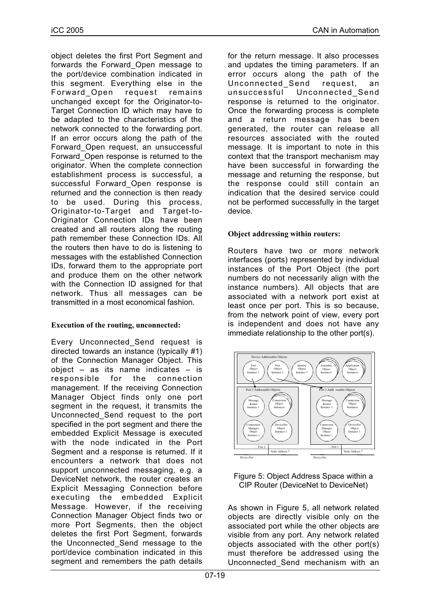object deletes the first Port Segment and forwards the Forward\_Open message to the port/device combination indicated in this segment. Everything else in the<br>Forward Open request remains Forward Open request unchanged except for the Originator-to-Target Connection ID which may have to be adapted to the characteristics of the network connected to the forwarding port. If an error occurs along the path of the Forward\_Open request, an unsuccessful Forward\_Open response is returned to the originator. When the complete connection establishment process is successful, a successful Forward\_Open response is returned and the connection is then ready to be used. During this process, Originator-to-Target and Target-to-Originator Connection IDs have been created and all routers along the routing path remember these Connection IDs. All the routers then have to do is listening to messages with the established Connection IDs, forward them to the appropriate port and produce them on the other network with the Connection ID assigned for that network. Thus all messages can be transmitted in a most economical fashion.

## **Execution of the routing, unconnected:**

Every Unconnected\_Send request is directed towards an instance (typically #1) of the Connection Manager Object. This object – as its name indicates – is responsible for the connection management. If the receiving Connection Manager Object finds only one port segment in the request, it transmits the Unconnected\_Send request to the port specified in the port segment and there the embedded Explicit Message is executed with the node indicated in the Port Segment and a response is returned. If it encounters a network that does not support unconnected messaging, e.g. a DeviceNet network, the router creates an Explicit Messaging Connection before executing the embedded Explicit Message. However, if the receiving Connection Manager Object finds two or more Port Segments, then the object deletes the first Port Segment, forwards the Unconnected\_Send message to the port/device combination indicated in this segment and remembers the path details

for the return message. It also processes and updates the timing parameters. If an error occurs along the path of the Unconnected\_Send request, an unsuccessful Unconnected Send response is returned to the originator. Once the forwarding process is complete and a return message has been generated, the router can release all resources associated with the routed message. It is important to note in this context that the transport mechanism may have been successful in forwarding the message and returning the response, but the response could still contain an indication that the desired service could not be performed successfully in the target device.

# **Object addressing within routers:**

Routers have two or more network interfaces (ports) represented by individual instances of the Port Object (the port numbers do not necessarily align with the instance numbers). All objects that are associated with a network port exist at least once per port. This is so because, from the network point of view, every port is independent and does not have any immediate relationship to the other port(s).



Figure 5: Object Address Space within a CIP Router (DeviceNet to DeviceNet)

As shown in Figure 5, all network related objects are directly visible only on the associated port while the other objects are visible from any port. Any network related objects associated with the other port(s) must therefore be addressed using the Unconnected\_Send mechanism with an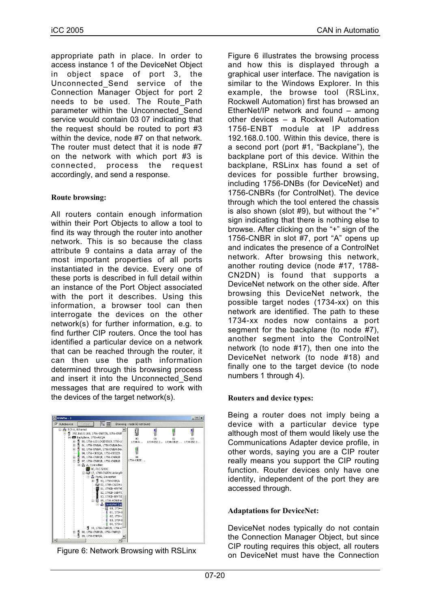appropriate path in place. In order to access instance 1 of the DeviceNet Object in object space of port 3, the Unconnected\_Send service of the Connection Manager Object for port 2 needs to be used. The Route\_Path parameter within the Unconnected\_Send service would contain 03 07 indicating that the request should be routed to port #3 within the device, node #7 on that network. The router must detect that it is node #7 on the network with which port #3 is connected, process the request accordingly, and send a response.

## **Route browsing:**

All routers contain enough information within their Port Objects to allow a tool to find its way through the router into another network. This is so because the class attribute 9 contains a data array of the most important properties of all ports instantiated in the device. Every one of these ports is described in full detail within an instance of the Port Object associated with the port it describes. Using this information, a browser tool can then interrogate the devices on the other network(s) for further information, e.g. to find further CIP routers. Once the tool has identified a particular device on a network that can be reached through the router, it can then use the path information determined through this browsing process and insert it into the Unconnected\_Send messages that are required to work with the devices of the target network(s).



Figure 6: Network Browsing with RSLinx

Figure 6 illustrates the browsing process and how this is displayed through a graphical user interface. The navigation is similar to the Windows Explorer. In this example, the browse tool (RSLinx, Rockwell Automation) first has browsed an EtherNet/IP network and found – among other devices – a Rockwell Automation 1756-ENBT module at IP address 192.168.0.100. Within this device, there is a second port (port #1, "Backplane"), the backplane port of this device. Within the backplane, RSLinx has found a set of devices for possible further browsing, including 1756-DNBs (for DeviceNet) and 1756-CNBRs (for ControlNet). The device through which the tool entered the chassis is also shown (slot  $#9$ ), but without the "+" sign indicating that there is nothing else to browse. After clicking on the "+" sign of the 1756-CNBR in slot #7, port "A" opens up and indicates the presence of a ControlNet network. After browsing this network, another routing device (node #17, 1788- CN2DN) is found that supports a DeviceNet network on the other side. After browsing this DeviceNet network, the possible target nodes (1734-xx) on this network are identified. The path to these 1734-xx nodes now contains a port segment for the backplane (to node #7), another segment into the ControlNet network (to node #17), then one into the DeviceNet network (to node #18) and finally one to the target device (to node numbers 1 through 4).

## **Routers and device types:**

Being a router does not imply being a device with a particular device type although most of them would likely use the Communications Adapter device profile, in other words, saying you are a CIP router really means you support the CIP routing function. Router devices only have one identity, independent of the port they are accessed through.

## **Adaptations for DeviceNet:**

DeviceNet nodes typically do not contain the Connection Manager Object, but since CIP routing requires this object, all routers on DeviceNet must have the Connection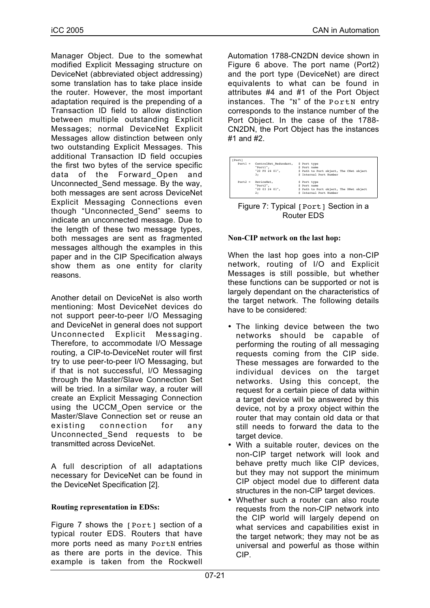Manager Object. Due to the somewhat modified Explicit Messaging structure on DeviceNet (abbreviated object addressing) some translation has to take place inside the router. However, the most important adaptation required is the prepending of a Transaction ID field to allow distinction between multiple outstanding Explicit Messages; normal DeviceNet Explicit Messages allow distinction between only two outstanding Explicit Messages. This additional Transaction ID field occupies the first two bytes of the service specific data of the Forward\_Open and Unconnected\_Send message. By the way, both messages are sent across DeviceNet Explicit Messaging Connections even though "Unconnected\_Send" seems to indicate an unconnected message. Due to the length of these two message types, both messages are sent as fragmented messages although the examples in this paper and in the CIP Specification always show them as one entity for clarity reasons.

Another detail on DeviceNet is also worth mentioning: Most DeviceNet devices do not support peer-to-peer I/O Messaging and DeviceNet in general does not support Unconnected Explicit Messaging. Therefore, to accommodate I/O Message routing, a CIP-to-DeviceNet router will first try to use peer-to-peer I/O Messaging, but if that is not successful, I/O Messaging through the Master/Slave Connection Set will be tried. In a similar way, a router will create an Explicit Messaging Connection using the UCCM\_Open service or the Master/Slave Connection set or reuse an existing connection for any Unconnected\_Send requests to be transmitted across DeviceNet.

A full description of all adaptations necessary for DeviceNet can be found in the DeviceNet Specification [2].

## **Routing representation in EDSs:**

Figure 7 shows the [Port] section of a typical router EDS. Routers that have more ports need as many PortN entries as there are ports in the device. This example is taken from the Rockwell

Automation 1788-CN2DN device shown in Figure 6 above. The port name (Port2) and the port type (DeviceNet) are direct equivalents to what can be found in attributes #4 and #1 of the Port Object instances. The "N" of the PortN entry corresponds to the instance number of the Port Object. In the case of the 1788- CN2DN, the Port Object has the instances #1 and #2.

| [Port]    |                       |                                         |  |
|-----------|-----------------------|-----------------------------------------|--|
| $Port1 =$ | ControlNet Redundant, | \$ Port type                            |  |
|           | "Portl",              | \$ Port name                            |  |
|           | "20 F0 24 $01$ ".     | \$ Path to Port object, The CNet object |  |
|           | 3;                    | \$ Internal Port Number                 |  |
| $Port2 =$ | DeviceNet.            | \$ Port type                            |  |
|           | "Port2".              | S Port name                             |  |
|           | "20 03 24 01",        | \$ Path to Port object, The DNet object |  |
|           | 2:                    | \$ Internal Port Number                 |  |



#### **Non-CIP network on the last hop:**

When the last hop goes into a non-CIP network, routing of I/O and Explicit Messages is still possible, but whether these functions can be supported or not is largely dependant on the characteristics of the target network. The following details have to be considered:

- The linking device between the two networks should be capable of performing the routing of all messaging requests coming from the CIP side. These messages are forwarded to the individual devices on the target networks. Using this concept, the request for a certain piece of data within a target device will be answered by this device, not by a proxy object within the router that may contain old data or that still needs to forward the data to the target device.
- With a suitable router, devices on the non-CIP target network will look and behave pretty much like CIP devices, but they may not support the minimum CIP object model due to different data structures in the non-CIP target devices.
- Whether such a router can also route requests from the non-CIP network into the CIP world will largely depend on what services and capabilities exist in the target network; they may not be as universal and powerful as those within CIP.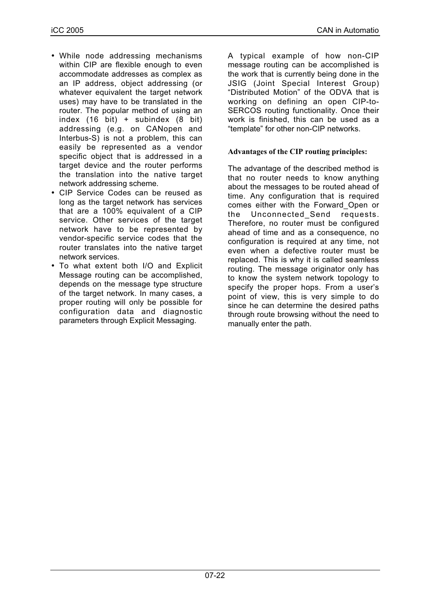- While node addressing mechanisms within CIP are flexible enough to even accommodate addresses as complex as an IP address, object addressing (or whatever equivalent the target network uses) may have to be translated in the router. The popular method of using an index (16 bit) + subindex (8 bit) addressing (e.g. on CANopen and Interbus-S) is not a problem, this can easily be represented as a vendor specific object that is addressed in a target device and the router performs the translation into the native target network addressing scheme.
- CIP Service Codes can be reused as long as the target network has services that are a 100% equivalent of a CIP service. Other services of the target network have to be represented by vendor-specific service codes that the router translates into the native target network services.
- To what extent both I/O and Explicit Message routing can be accomplished, depends on the message type structure of the target network. In many cases, a proper routing will only be possible for configuration data and diagnostic parameters through Explicit Messaging.

A typical example of how non-CIP message routing can be accomplished is the work that is currently being done in the JSIG (Joint Special Interest Group) "Distributed Motion" of the ODVA that is working on defining an open CIP-to-SERCOS routing functionality. Once their work is finished, this can be used as a "template" for other non-CIP networks.

# **Advantages of the CIP routing principles:**

The advantage of the described method is that no router needs to know anything about the messages to be routed ahead of time. Any configuration that is required comes either with the Forward\_Open or the Unconnected Send requests. Therefore, no router must be configured ahead of time and as a consequence, no configuration is required at any time, not even when a defective router must be replaced. This is why it is called seamless routing. The message originator only has to know the system network topology to specify the proper hops. From a user's point of view, this is very simple to do since he can determine the desired paths through route browsing without the need to manually enter the path.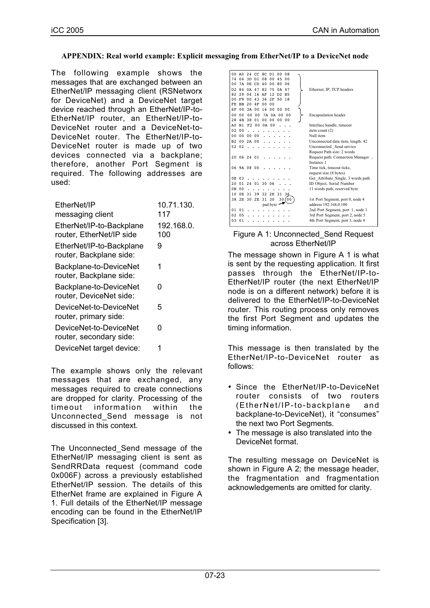## **APPENDIX: Real world example: Explicit messaging from EtherNet/IP to a DeviceNet node**

The following example shows the messages that are exchanged between an EtherNet/IP messaging client (RSNetworx for DeviceNet) and a DeviceNet target device reached through an EtherNet/IP-to-EtherNet/IP router, an EtherNet/IP-to-DeviceNet router and a DeviceNet-to-DeviceNet router. The EtherNet/IP-to-DeviceNet router is made up of two devices connected via a backplane; therefore, another Port Segment is required. The following addresses are used:

| EtherNet/IP                                          | 10.71.130.        |
|------------------------------------------------------|-------------------|
| messaging client                                     | 117               |
| EtherNet/IP-to-Backplane<br>router, EtherNet/IP side | 192.168.0.<br>100 |
| EtherNet/IP-to-Backplane<br>router, Backplane side:  | 9                 |
| Backplane-to-DeviceNet<br>router, Backplane side:    | 1                 |
| Backplane-to-DeviceNet<br>router, DeviceNet side:    | n                 |
| DeviceNet-to-DeviceNet<br>router, primary side:      | 5                 |
| DeviceNet-to-DeviceNet<br>router, secondary side:    | n                 |
| DeviceNet target device:                             | 1                 |
|                                                      |                   |

The example shows only the relevant messages that are exchanged, any messages required to create connections are dropped for clarity. Processing of the timeout information within the Unconnected\_Send message is not discussed in this context.

The Unconnected\_Send message of the EtherNet/IP messaging client is sent as SendRRData request (command code 0x006F) across a previously established EtherNet/IP session. The details of this EtherNet frame are explained in Figure A 1. Full details of the EtherNet/IP message encoding can be found in the EtherNet/IP Specification [3].

|                |                |                          | 00 A0 24 CC 8C D1<br>0 <sub>0</sub><br>08 |                                    |
|----------------|----------------|--------------------------|-------------------------------------------|------------------------------------|
| 74             |                | $04$ 3D D1 08            | 0 <sub>0</sub><br>45<br>0 <sub>0</sub>    |                                    |
| 00             |                | 7A OE CD 40              | 00<br>80<br>06                            |                                    |
| D <sub>2</sub> | 84             | 0A 47                    | 75<br>82<br>0A 47                         | Ethernet, IP, TCP headers          |
| 82             |                | 29 04 16 AF              | 12 D <sub>2</sub> B <sub>5</sub>          |                                    |
| 00             | F9             | 00 43                    | 36<br>2F 50 18                            |                                    |
| FE             |                | BB 20 4F 00              | 0 <sub>0</sub>                            |                                    |
| 6 F            |                | 00 3A 00                 | 16 00<br>0 <sub>0</sub><br>0 <sub>0</sub> |                                    |
| 0 <sub>0</sub> |                |                          | 00 00 00 7A 0A 00 00                      | <b>Encapsulation</b> header        |
|                |                |                          | 28 4B 38 01 00 00 00 00                   |                                    |
|                | A0 B1          |                          | F2 00 0A 00                               | Interface handle, timeout          |
| 02             | 0 <sub>0</sub> | $\overline{\phantom{a}}$ |                                           | item count $(2)$                   |
| 0 <sub>0</sub> |                | 00 00 00                 |                                           | Null item                          |
| B2             |                | 002A00                   |                                           | Unconnected data item, length: 42  |
|                | 52 02          |                          |                                           | Unconnected Send service           |
|                |                |                          |                                           | Request Path size: 2 words         |
|                |                | 20 06 24 01              |                                           | Request path: Connection Manager,  |
|                |                |                          |                                           | Instance 1                         |
|                |                | 06 9A 08 00              |                                           | Time tick, timeout ticks,          |
|                |                |                          |                                           | request size (8 bytes)             |
| 0E.            | 0.3            |                          |                                           | Get Attribute_Single, 3 words path |
| 20             |                | 01 24 01 30 06           |                                           | ID Object, Serial Number           |
|                | 0B 00          |                          |                                           | 11 words path, reserved byte       |
| 10             | 0E             | 31 39                    | 32 2E<br>31 36                            |                                    |
| 38             |                | 2E<br>2E 30              | 31 30<br>30(00                            | 1st Port Segment, port 0, node 4   |
|                |                |                          | pad byte                                  | address 192.168.0.100              |
|                | 0101           |                          |                                           | 2nd Port Segment, port 1, node 1   |
| 02             | 0.5            |                          |                                           | 3rd Port Segment, port 2, node 5   |
| 0.3            | 0 <sub>1</sub> |                          |                                           | 4th Port Segment, port 3, node 4   |
|                |                |                          |                                           |                                    |

#### Figure A 1: Unconnected\_Send Request across EtherNet/IP

The message shown in Figure A 1 is what is sent by the requesting application. It first passes through the EtherNet/IP-to-EtherNet/IP router (the next EtherNet/IP node is on a different network) before it is delivered to the EtherNet/IP-to-DeviceNet router. This routing process only removes the first Port Segment and updates the timing information.

This message is then translated by the EtherNet/IP-to-DeviceNet router as follows:

- Since the EtherNet/IP-to-DeviceNet router consists of two routers (EtherNet/IP-to-backplane and backplane-to-DeviceNet), it "consumes" the next two Port Segments.
- The message is also translated into the DeviceNet format.

The resulting message on DeviceNet is shown in Figure A 2; the message header, the fragmentation and fragmentation acknowledgements are omitted for clarity.